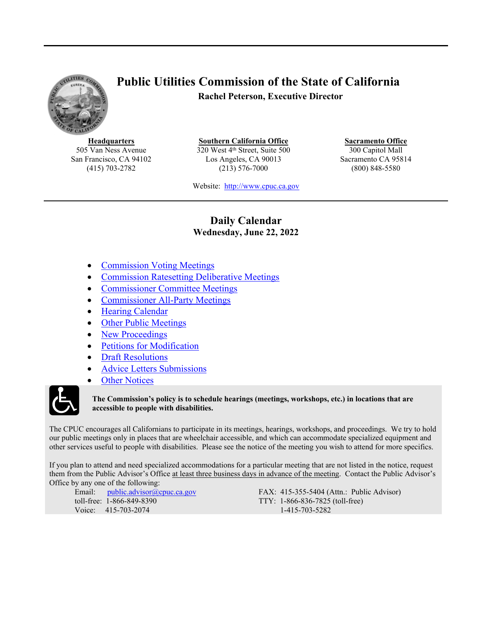<span id="page-0-1"></span>

## **Public Utilities Commission of the State of California Rachel Peterson, Executive Director**

**Headquarters** 505 Van Ness Avenue San Francisco, CA 94102 (415) 703-2782

**Southern California Office** 320 West 4<sup>th</sup> Street, Suite 500 Los Angeles, CA 90013 (213) 576-7000

**Sacramento Office** 300 Capitol Mall Sacramento CA 95814 (800) 848-5580

Website: [http://www.cpuc.ca.gov](file://gc5filesrv231/VDI-AppData/CW4/AppData/Roaming/OpenText/OTEdit/cs_cpuc_ca_gov-otcs/c323758965/www.cpuc.ca.gov)

### **Daily Calendar Wednesday, June 22, 2022**

- <span id="page-0-0"></span>[Commission](#page-1-0) Voting Meeting[s](#page-1-0)
- [Commission](#page-1-1) Ratesetting Deliberati[ve](#page-1-2) Meeting[s](#page-1-1)
- [Commissioner](#page-1-2) Committee Meetings
- [Commissioner](#page-1-3) All-Party Meetings
- Hearing [Calendar](#page-1-4)
- Other Public [Meetings](#page-7-0)
- New [Proceedings](#page-8-0)
- Petitions for [Modification](#page-8-1)
- Draft [Resolutions](#page-8-2)
- Advice Letters [Submissions](#page-12-0)
- Other [Notices](#page-13-0)



#### **The Commission's policy is to schedule hearings (meetings, workshops, etc.) in locations that are accessible to people with disabilities.**

The CPUC encourages all Californians to participate in its meetings, hearings, workshops, and proceedings. We try to hold our public meetings only in places that are wheelchair accessible, and which can accommodate specialized equipment and other services useful to people with disabilities. Please see the notice of the meeting you wish to attend for more specifics.

If you plan to attend and need specialized accommodations for a particular meeting that are not listed in the notice, request them from the Public Advisor's Office at least three business days in advance of the meeting. Contact the Public Advisor's Office by any one of the following:

Email: [public.advisor@cpuc.ca.gov](file://gc5filesrv231/VDI-AppData/CW4/AppData/Roaming/OpenText/OTEdit/cs_cpuc_ca_gov-otcs/c323758965/public.advisor@cpuc.ca.gov) toll-free: 1-866-849-8390 Voice: 415-703-2074

FAX: 415-355-5404 (Attn.: Public Advisor) TTY: 1-866-836-7825 (toll-free) 1-415-703-5282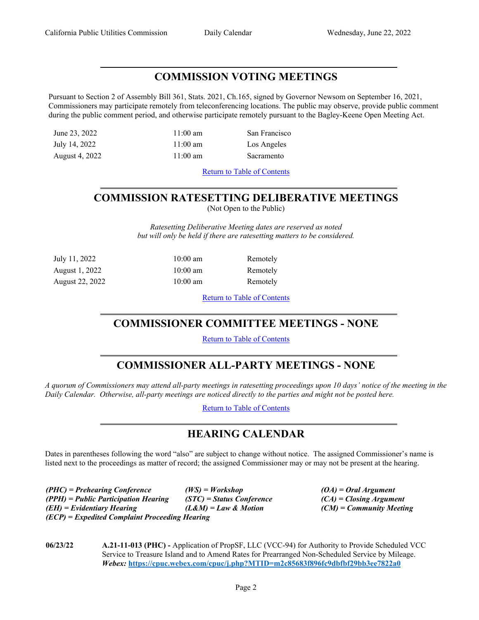### <span id="page-1-0"></span>**COMMISSION VOTING MEETINGS**

Pursuant to Section 2 of Assembly Bill 361, Stats. 2021, Ch.165, signed by Governor Newsom on September 16, 2021, Commissioners may participate remotely from teleconferencing locations. The public may observe, provide public comment during the public comment period, and otherwise participate remotely pursuant to the Bagley-Keene Open Meeting Act.

June 23, 2022 11:00 am San Francisco

July 14, 2022 11:00 am Los Angeles

August 4, 2022 11:00 am Sacramento

Return to Table of [Contents](#page-0-0)

# <span id="page-1-1"></span>**COMMISSION RATESETTING DELIBERATIVE MEETINGS**

(Not Open to the Public)

*Ratesetting Deliberative Meeting dates are reserved as noted but will only be held if there are ratesetting matters to be considered.*

> Remotely **Remotely Remotely**

| July 11, 2022   | $10:00$ am         |
|-----------------|--------------------|
| August 1, 2022  | $10:00 \text{ am}$ |
| August 22, 2022 | $10:00$ am         |

Return to Table of [Contents](#page-0-1)

## <span id="page-1-2"></span>**COMMISSIONER COMMITTEE MEETINGS - NONE**

Return to Table of [Contents](#page-0-0)

## <span id="page-1-3"></span>**COMMISSIONER ALL-PARTY MEETINGS - NONE**

A quorum of Commissioners may attend all-party meetings in ratesetting proceedings upon 10 days' notice of the meeting in the *Daily Calendar. Otherwise, all-party meetings are noticed directly to the parties and might not be posted here.*

Return to Table of [Contents](#page-0-0)

## <span id="page-1-4"></span>**HEARING CALENDAR**

Dates in parentheses following the word "also" are subject to change without notice. The assigned Commissioner's name is listed next to the proceedings as matter of record; the assigned Commissioner may or may not be present at the hearing.

*(PHC) = Prehearing Conference (WS) = Workshop (OA) = Oral Argument (PPH) = Public Participation Hearing (STC) = Status Conference (CA) = Closing Argument (EH) = Evidentiary Hearing (L&M) = Law & Motion (CM) = Community Meeting (ECP) = Expedited Complaint Proceeding Hearing*

**06/23/22 A.21-11-013 (PHC) -** Application of PropSF, LLC (VCC-94) for Authority to Provide Scheduled VCC Service to Treasure Island and to Amend Rates for Prearranged Non-Scheduled Service by Mileage. *Webex:* **<https://cpuc.webex.com/cpuc/j.php?MTID=m2c85683f896fc9dbfbf29bb3ee7822a0>**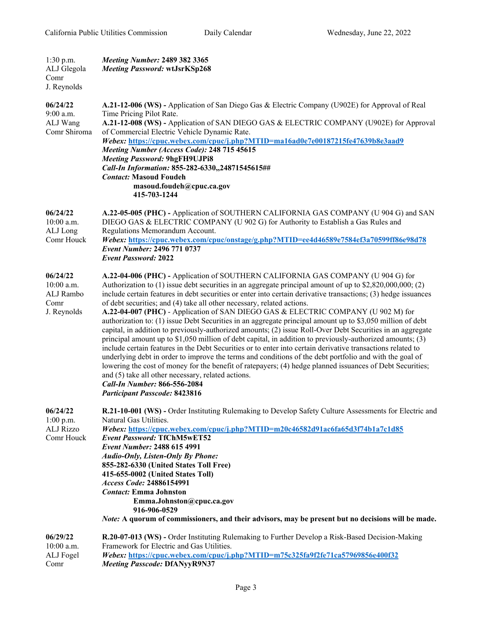| $1:30$ p.m.<br>ALJ Glegola<br>Comr<br>J. Reynolds            | <b>Meeting Number: 2489 382 3365</b><br>Meeting Password: wtJsrKSp268                                                                                                                                                                                                                                                                                                                                                                                                                                                                                                                                                                                                                                                                                                                                                                                                                                                                                                                                                                                                                                                                                                                                                                                                                          |
|--------------------------------------------------------------|------------------------------------------------------------------------------------------------------------------------------------------------------------------------------------------------------------------------------------------------------------------------------------------------------------------------------------------------------------------------------------------------------------------------------------------------------------------------------------------------------------------------------------------------------------------------------------------------------------------------------------------------------------------------------------------------------------------------------------------------------------------------------------------------------------------------------------------------------------------------------------------------------------------------------------------------------------------------------------------------------------------------------------------------------------------------------------------------------------------------------------------------------------------------------------------------------------------------------------------------------------------------------------------------|
| 06/24/22<br>9:00 a.m.<br>ALJ Wang<br>Comr Shiroma            | A.21-12-006 (WS) - Application of San Diego Gas & Electric Company (U902E) for Approval of Real<br>Time Pricing Pilot Rate.<br>A.21-12-008 (WS) - Application of SAN DIEGO GAS & ELECTRIC COMPANY (U902E) for Approval<br>of Commercial Electric Vehicle Dynamic Rate.<br>Webex: https://cpuc.webex.com/cpuc/j.php?MTID=ma16ad0e7e00187215fe47639b8e3aad9<br>Meeting Number (Access Code): 248 715 45615<br><b>Meeting Password: 9hgFH9UJPi8</b><br>Call-In Information: 855-282-6330,,24871545615##<br><b>Contact: Masoud Foudeh</b><br>masoud.foudeh@cpuc.ca.gov<br>415-703-1244                                                                                                                                                                                                                                                                                                                                                                                                                                                                                                                                                                                                                                                                                                             |
| 06/24/22<br>$10:00$ a.m.<br>ALJ Long<br>Comr Houck           | A.22-05-005 (PHC) - Application of SOUTHERN CALIFORNIA GAS COMPANY (U 904 G) and SAN<br>DIEGO GAS & ELECTRIC COMPANY (U 902 G) for Authority to Establish a Gas Rules and<br>Regulations Memorandum Account.<br>Webex: https://cpuc.webex.com/cpuc/onstage/g.php?MTID=ee4d46589e7584ef3a70599ff86e98d78<br><b>Event Number: 2496 771 0737</b><br><b>Event Password: 2022</b>                                                                                                                                                                                                                                                                                                                                                                                                                                                                                                                                                                                                                                                                                                                                                                                                                                                                                                                   |
| 06/24/22<br>$10:00$ a.m.<br>ALJ Rambo<br>Comr<br>J. Reynolds | A.22-04-006 (PHC) - Application of SOUTHERN CALIFORNIA GAS COMPANY (U 904 G) for<br>Authorization to $(1)$ issue debt securities in an aggregate principal amount of up to \$2,820,000,000; (2)<br>include certain features in debt securities or enter into certain derivative transactions; (3) hedge issuances<br>of debt securities; and (4) take all other necessary, related actions.<br>A.22-04-007 (PHC) - Application of SAN DIEGO GAS & ELECTRIC COMPANY (U 902 M) for<br>authorization to: (1) issue Debt Securities in an aggregate principal amount up to \$3,050 million of debt<br>capital, in addition to previously-authorized amounts; (2) issue Roll-Over Debt Securities in an aggregate<br>principal amount up to \$1,050 million of debt capital, in addition to previously-authorized amounts; (3)<br>include certain features in the Debt Securities or to enter into certain derivative transactions related to<br>underlying debt in order to improve the terms and conditions of the debt portfolio and with the goal of<br>lowering the cost of money for the benefit of ratepayers; (4) hedge planned issuances of Debt Securities;<br>and (5) take all other necessary, related actions.<br>Call-In Number: 866-556-2084<br><b>Participant Passcode: 8423816</b> |
| 06/24/22<br>$1:00$ p.m.<br><b>ALJ Rizzo</b><br>Comr Houck    | R.21-10-001 (WS) - Order Instituting Rulemaking to Develop Safety Culture Assessments for Electric and<br>Natural Gas Utilities.<br>Webex: https://cpuc.webex.com/cpuc/j.php?MTID=m20c46582d91ac6fa65d3f74b1a7c1d85<br><b>Event Password: TfChM5wET52</b><br><b>Event Number: 2488 615 4991</b><br><b>Audio-Only, Listen-Only By Phone:</b><br>855-282-6330 (United States Toll Free)<br>415-655-0002 (United States Toll)<br>Access Code: 24886154991<br><b>Contact:</b> Emma Johnston<br>Emma.Johnston@cpuc.ca.gov<br>916-906-0529<br><i>Note:</i> A quorum of commissioners, and their advisors, may be present but no decisions will be made.                                                                                                                                                                                                                                                                                                                                                                                                                                                                                                                                                                                                                                              |
| 06/29/22<br>$10:00$ a.m.<br>ALJ Fogel<br>Comr                | R.20-07-013 (WS) - Order Instituting Rulemaking to Further Develop a Risk-Based Decision-Making<br>Framework for Electric and Gas Utilities.<br>Webex: https://cpuc.webex.com/cpuc/j.php?MTID=m75c325fa9f2fe71ca57969856e400f32<br><b>Meeting Passcode: DfANyyR9N37</b>                                                                                                                                                                                                                                                                                                                                                                                                                                                                                                                                                                                                                                                                                                                                                                                                                                                                                                                                                                                                                        |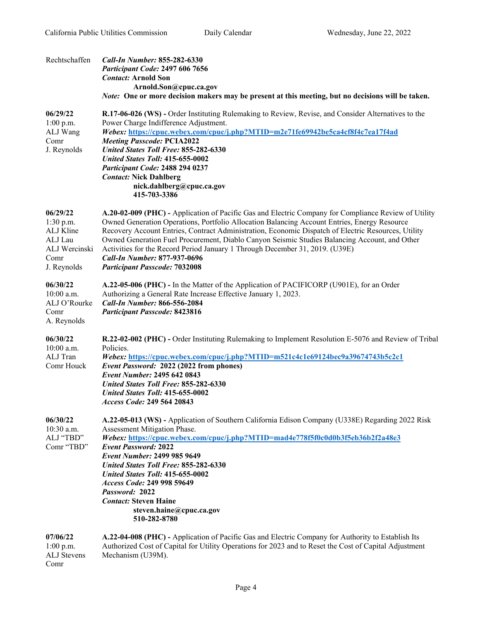| Rechtschaffen                                                                         | Call-In Number: 855-282-6330<br><b>Participant Code: 2497 606 7656</b><br><b>Contact: Arnold Son</b><br>Arnold.Son@cpuc.ca.gov<br><i>Note:</i> One or more decision makers may be present at this meeting, but no decisions will be taken.                                                                                                                                                                                                                                                                                                                           |
|---------------------------------------------------------------------------------------|----------------------------------------------------------------------------------------------------------------------------------------------------------------------------------------------------------------------------------------------------------------------------------------------------------------------------------------------------------------------------------------------------------------------------------------------------------------------------------------------------------------------------------------------------------------------|
| 06/29/22<br>$1:00$ p.m.<br>ALJ Wang<br>Comr<br>J. Reynolds                            | R.17-06-026 (WS) - Order Instituting Rulemaking to Review, Revise, and Consider Alternatives to the<br>Power Charge Indifference Adjustment.<br>Webex: https://cpuc.webex.com/cpuc/j.php?MTID=m2e71fe69942be5ca4cf8f4c7ea17f4ad<br><b>Meeting Passcode: PCIA2022</b><br><b>United States Toll Free: 855-282-6330</b><br>United States Toll: 415-655-0002<br>Participant Code: 2488 294 0237<br><b>Contact: Nick Dahlberg</b><br>nick.dahlberg@cpuc.ca.gov<br>415-703-3386                                                                                            |
| 06/29/22<br>1:30 p.m.<br>ALJ Kline<br>ALJ Lau<br>ALJ Wercinski<br>Comr<br>J. Reynolds | A.20-02-009 (PHC) - Application of Pacific Gas and Electric Company for Compliance Review of Utility<br>Owned Generation Operations, Portfolio Allocation Balancing Account Entries, Energy Resource<br>Recovery Account Entries, Contract Administration, Economic Dispatch of Electric Resources, Utility<br>Owned Generation Fuel Procurement, Diablo Canyon Seismic Studies Balancing Account, and Other<br>Activities for the Record Period January 1 Through December 31, 2019. (U39E)<br>Call-In Number: 877-937-0696<br><b>Participant Passcode: 7032008</b> |
| 06/30/22<br>$10:00$ a.m.<br>ALJ O'Rourke<br>Comr<br>A. Reynolds                       | A.22-05-006 (PHC) - In the Matter of the Application of PACIFICORP (U901E), for an Order<br>Authorizing a General Rate Increase Effective January 1, 2023.<br><b>Call-In Number: 866-556-2084</b><br><b>Participant Passcode: 8423816</b>                                                                                                                                                                                                                                                                                                                            |
| 06/30/22<br>10:00 a.m.<br>ALJ Tran<br>Comr Houck                                      | R.22-02-002 (PHC) - Order Instituting Rulemaking to Implement Resolution E-5076 and Review of Tribal<br>Policies.<br>Webex: https://cpuc.webex.com/cpuc/j.php?MTID=m521c4c1e69124bec9a39674743b5c2c1<br>Event Password: 2022 (2022 from phones)<br><b>Event Number: 2495 642 0843</b><br><b>United States Toll Free: 855-282-6330</b><br>United States Toll: 415-655-0002<br>Access Code: 249 564 20843                                                                                                                                                              |
| 06/30/22<br>10:30 a.m.<br>ALJ "TBD"<br>Comr "TBD"                                     | A.22-05-013 (WS) - Application of Southern California Edison Company (U338E) Regarding 2022 Risk<br>Assessment Mitigation Phase.<br>Webex: https://cpuc.webex.com/cpuc/j.php?MTID=mad4e778f5f0c0d0b3f5eb36b2f2a48e3<br><b>Event Password: 2022</b><br><b>Event Number: 2499 985 9649</b><br><b>United States Toll Free: 855-282-6330</b><br><b>United States Toll: 415-655-0002</b><br>Access Code: 249 998 59649<br>Password: 2022<br><b>Contact: Steven Haine</b><br>steven.haine@cpuc.ca.gov<br>510-282-8780                                                      |
| 07/06/22<br>$1:00$ p.m.<br>ALJ Stevens                                                | A.22-04-008 (PHC) - Application of Pacific Gas and Electric Company for Authority to Establish Its<br>Authorized Cost of Capital for Utility Operations for 2023 and to Reset the Cost of Capital Adjustment<br>Mechanism (U39M).                                                                                                                                                                                                                                                                                                                                    |

Comr

Page 4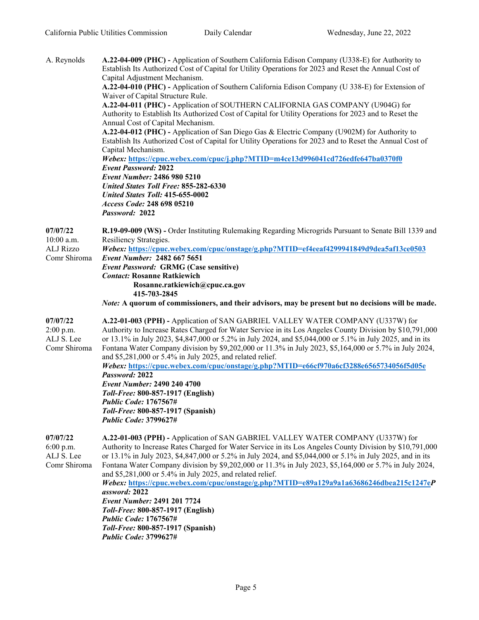| A. Reynolds                                                  | A.22-04-009 (PHC) - Application of Southern California Edison Company (U338-E) for Authority to<br>Establish Its Authorized Cost of Capital for Utility Operations for 2023 and Reset the Annual Cost of<br>Capital Adjustment Mechanism.<br>A.22-04-010 (PHC) - Application of Southern California Edison Company (U 338-E) for Extension of<br>Waiver of Capital Structure Rule.<br>A.22-04-011 (PHC) - Application of SOUTHERN CALIFORNIA GAS COMPANY (U904G) for<br>Authority to Establish Its Authorized Cost of Capital for Utility Operations for 2023 and to Reset the<br>Annual Cost of Capital Mechanism.<br>A.22-04-012 (PHC) - Application of San Diego Gas & Electric Company (U902M) for Authority to<br>Establish Its Authorized Cost of Capital for Utility Operations for 2023 and to Reset the Annual Cost of<br>Capital Mechanism.<br>Webex: https://cpuc.webex.com/cpuc/j.php?MTID=m4ce13d996041cd726edfe647ba0370f0<br><b>Event Password: 2022</b><br><b>Event Number: 2486 980 5210</b><br><b>United States Toll Free: 855-282-6330</b><br><b>United States Toll: 415-655-0002</b><br>Access Code: 248 698 05210<br>Password: 2022 |
|--------------------------------------------------------------|----------------------------------------------------------------------------------------------------------------------------------------------------------------------------------------------------------------------------------------------------------------------------------------------------------------------------------------------------------------------------------------------------------------------------------------------------------------------------------------------------------------------------------------------------------------------------------------------------------------------------------------------------------------------------------------------------------------------------------------------------------------------------------------------------------------------------------------------------------------------------------------------------------------------------------------------------------------------------------------------------------------------------------------------------------------------------------------------------------------------------------------------------------|
| 07/07/22<br>$10:00$ a.m.<br><b>ALJ Rizzo</b><br>Comr Shiroma | R.19-09-009 (WS) - Order Instituting Rulemaking Regarding Microgrids Pursuant to Senate Bill 1339 and<br>Resiliency Strategies.<br>Webex: https://cpuc.webex.com/cpuc/onstage/g.php?MTID=ef4eeaf4299941849d9dea5af13ce0503<br>Event Number: 2482 667 5651<br><b>Event Password: GRMG (Case sensitive)</b><br><b>Contact: Rosanne Ratkiewich</b><br>Rosanne.ratkiewich@cpuc.ca.gov<br>415-703-2845<br>Note: A quorum of commissioners, and their advisors, may be present but no decisions will be made.                                                                                                                                                                                                                                                                                                                                                                                                                                                                                                                                                                                                                                                  |
| 07/07/22<br>$2:00$ p.m.<br>ALJ S. Lee<br>Comr Shiroma        | A.22-01-003 (PPH) - Application of SAN GABRIEL VALLEY WATER COMPANY (U337W) for<br>Authority to Increase Rates Charged for Water Service in its Los Angeles County Division by \$10,791,000<br>or 13.1% in July 2023, \$4,847,000 or 5.2% in July 2024, and \$5,044,000 or 5.1% in July 2025, and in its<br>Fontana Water Company division by \$9,202,000 or 11.3% in July 2023, \$5,164,000 or 5.7% in July 2024,<br>and \$5,281,000 or 5.4% in July 2025, and related relief.<br>Webex: https://cpuc.webex.com/cpuc/onstage/g.php?MTID=e66cf970a6cf3288e6565734056f5d05e<br>Password: 2022<br>Event Number: 2490 240 4700<br>Toll-Free: 800-857-1917 (English)<br><b>Public Code: 1767567#</b><br>Toll-Free: 800-857-1917 (Spanish)<br><b>Public Code: 3799627#</b>                                                                                                                                                                                                                                                                                                                                                                                    |
| 07/07/22<br>6:00 p.m.<br>ALJ S. Lee<br>Comr Shiroma          | A.22-01-003 (PPH) - Application of SAN GABRIEL VALLEY WATER COMPANY (U337W) for<br>Authority to Increase Rates Charged for Water Service in its Los Angeles County Division by \$10,791,000<br>or 13.1% in July 2023, \$4,847,000 or 5.2% in July 2024, and \$5,044,000 or 5.1% in July 2025, and in its<br>Fontana Water Company division by \$9,202,000 or 11.3% in July 2023, \$5,164,000 or 5.7% in July 2024,<br>and \$5,281,000 or 5.4% in July 2025, and related relief.<br>Webex: https://cpuc.webex.com/cpuc/onstage/g.php?MTID=e89a129a9a1a63686246dbea215c1247eP<br>assword: 2022<br><b>Event Number: 2491 201 7724</b><br>Toll-Free: 800-857-1917 (English)<br><b>Public Code: 1767567#</b><br>Toll-Free: 800-857-1917 (Spanish)                                                                                                                                                                                                                                                                                                                                                                                                             |

*Public Code:* **3799627#**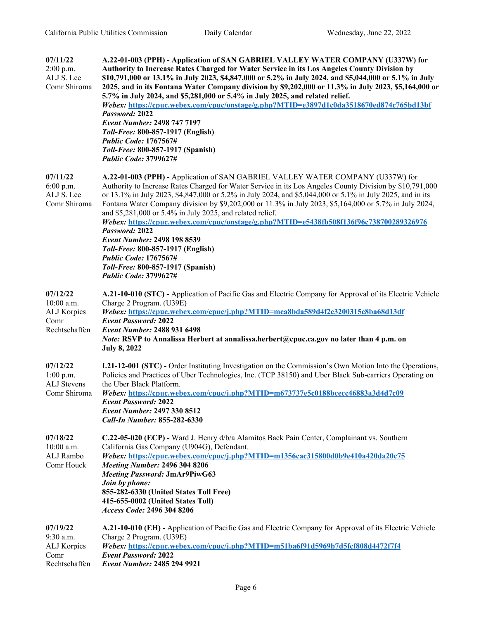| 07/11/22<br>$2:00$ p.m.<br>ALJ S. Lee<br>Comr Shiroma          | A.22-01-003 (PPH) - Application of SAN GABRIEL VALLEY WATER COMPANY (U337W) for<br>Authority to Increase Rates Charged for Water Service in its Los Angeles County Division by<br>\$10,791,000 or 13.1% in July 2023, \$4,847,000 or 5.2% in July 2024, and \$5,044,000 or 5.1% in July<br>2025, and in its Fontana Water Company division by \$9,202,000 or 11.3% in July 2023, \$5,164,000 or<br>5.7% in July 2024, and \$5,281,000 or 5.4% in July 2025, and related relief.<br>Webex: https://cpuc.webex.com/cpuc/onstage/g.php?MTID=e3897d1c0da3518670ed874c765bd13bf<br>Password: 2022<br><b>Event Number: 2498 747 7197</b><br>Toll-Free: 800-857-1917 (English)<br><b>Public Code: 1767567#</b><br>Toll-Free: 800-857-1917 (Spanish)<br><b>Public Code: 3799627#</b> |
|----------------------------------------------------------------|------------------------------------------------------------------------------------------------------------------------------------------------------------------------------------------------------------------------------------------------------------------------------------------------------------------------------------------------------------------------------------------------------------------------------------------------------------------------------------------------------------------------------------------------------------------------------------------------------------------------------------------------------------------------------------------------------------------------------------------------------------------------------|
| 07/11/22<br>$6:00$ p.m.<br>ALJ S. Lee<br>Comr Shiroma          | A.22-01-003 (PPH) - Application of SAN GABRIEL VALLEY WATER COMPANY (U337W) for<br>Authority to Increase Rates Charged for Water Service in its Los Angeles County Division by \$10,791,000<br>or 13.1% in July 2023, \$4,847,000 or 5.2% in July 2024, and \$5,044,000 or 5.1% in July 2025, and in its<br>Fontana Water Company division by \$9,202,000 or 11.3% in July 2023, \$5,164,000 or 5.7% in July 2024,<br>and \$5,281,000 or 5.4% in July 2025, and related relief.<br>Webex: https://cpuc.webex.com/cpuc/onstage/g.php?MTID=e5438fb508f136f96c738700289326976<br>Password: 2022<br>Event Number: 2498 198 8539<br>Toll-Free: 800-857-1917 (English)<br><b>Public Code: 1767567#</b><br>Toll-Free: 800-857-1917 (Spanish)<br><b>Public Code: 3799627#</b>        |
| 07/12/22<br>10:00 a.m.<br>ALJ Korpics<br>Comr<br>Rechtschaffen | A.21-10-010 (STC) - Application of Pacific Gas and Electric Company for Approval of its Electric Vehicle<br>Charge 2 Program. (U39E)<br>Webex: https://cpuc.webex.com/cpuc/j.php?MTID=mca8bda589d4f2c3200315c8ba68d13df<br><b>Event Password: 2022</b><br><b>Event Number: 2488 931 6498</b><br><i>Note:</i> RSVP to Annalissa Herbert at annalissa.herbert@cpuc.ca.gov no later than 4 p.m. on<br><b>July 8, 2022</b>                                                                                                                                                                                                                                                                                                                                                       |
| 07/12/22<br>$1:00$ p.m.<br><b>ALJ</b> Stevens<br>Comr Shiroma  | <b>I.21-12-001 (STC)</b> - Order Instituting Investigation on the Commission's Own Motion Into the Operations,<br>Policies and Practices of Uber Technologies, Inc. (TCP 38150) and Uber Black Sub-carriers Operating on<br>the Uber Black Platform.<br>Webex: https://cpuc.webex.com/cpuc/j.php?MTID=m673737e5c0188bcecc46883a3d4d7c09<br><b>Event Password: 2022</b><br><b>Event Number: 2497 330 8512</b><br>Call-In Number: 855-282-6330                                                                                                                                                                                                                                                                                                                                 |
| 07/18/22<br>10:00 a.m.<br>ALJ Rambo<br>Comr Houck              | C.22-05-020 (ECP) - Ward J. Henry d/b/a Alamitos Back Pain Center, Complainant vs. Southern<br>California Gas Company (U904G), Defendant.<br>Webex: https://cpuc.webex.com/cpuc/j.php?MTID=m1356cac315800d0b9e410a420da20c75<br><b>Meeting Number: 2496 304 8206</b><br><b>Meeting Password: JmAr9PiwG63</b><br>Join by phone:<br>855-282-6330 (United States Toll Free)<br>415-655-0002 (United States Toll)<br>Access Code: 2496 304 8206                                                                                                                                                                                                                                                                                                                                  |
| 07/19/22<br>9:30 a.m.<br>ALJ Korpics<br>Comr<br>Rechtschaffen  | A.21-10-010 (EH) - Application of Pacific Gas and Electric Company for Approval of its Electric Vehicle<br>Charge 2 Program. (U39E)<br>Webex: https://cpuc.webex.com/cpuc/j.php?MTID=m51ba6f91d5969b7d5fcf808d4472f7f4<br><b>Event Password: 2022</b><br>Event Number: 2485 294 9921                                                                                                                                                                                                                                                                                                                                                                                                                                                                                         |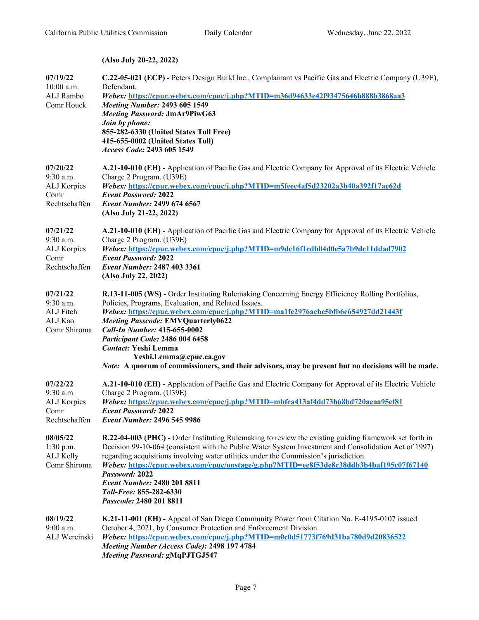**(Also July 20-22, 2022)**

| 07/19/22<br>$10:00$ a.m.<br>ALJ Rambo<br>Comr Houck           | C.22-05-021 (ECP) - Peters Design Build Inc., Complainant vs Pacific Gas and Electric Company (U39E),<br>Defendant.<br>Webex: https://cpuc.webex.com/cpuc/j.php?MTID=m36d94633e42f93475646b888b3868aa3<br><b>Meeting Number: 2493 605 1549</b><br><b>Meeting Password: JmAr9PiwG63</b><br>Join by phone:<br>855-282-6330 (United States Toll Free)<br>415-655-0002 (United States Toll)<br>Access Code: 2493 605 1549                                                                                                             |
|---------------------------------------------------------------|-----------------------------------------------------------------------------------------------------------------------------------------------------------------------------------------------------------------------------------------------------------------------------------------------------------------------------------------------------------------------------------------------------------------------------------------------------------------------------------------------------------------------------------|
| 07/20/22<br>9:30 a.m.<br>ALJ Korpics<br>Comr<br>Rechtschaffen | A.21-10-010 (EH) - Application of Pacific Gas and Electric Company for Approval of its Electric Vehicle<br>Charge 2 Program. (U39E)<br>Webex: https://cpuc.webex.com/cpuc/j.php?MTID=m5feec4af5d23202a3b40a392f17ae62d<br><b>Event Password: 2022</b><br>Event Number: 2499 674 6567<br>(Also July 21-22, 2022)                                                                                                                                                                                                                   |
| 07/21/22<br>9:30 a.m.<br>ALJ Korpics<br>Comr<br>Rechtschaffen | A.21-10-010 (EH) - Application of Pacific Gas and Electric Company for Approval of its Electric Vehicle<br>Charge 2 Program. (U39E)<br>Webex: https://cpuc.webex.com/cpuc/j.php?MTID=m9dc16f1cdb04d0e5a7b9dc11ddad7902<br><b>Event Password: 2022</b><br>Event Number: 2487 403 3361<br>(Also July 22, 2022)                                                                                                                                                                                                                      |
| 07/21/22<br>9:30 a.m.<br>ALJ Fitch<br>ALJ Kao<br>Comr Shiroma | R.13-11-005 (WS) - Order Instituting Rulemaking Concerning Energy Efficiency Rolling Portfolios,<br>Policies, Programs, Evaluation, and Related Issues.<br>Webex: https://cpuc.webex.com/cpuc/j.php?MTID=ma1fe2976acbe5bfb6e654927dd21443f<br><b>Meeting Passcode: EMVQuarterly0622</b><br>Call-In Number: 415-655-0002<br>Participant Code: 2486 004 6458<br><b>Contact: Yeshi Lemma</b><br>Yeshi.Lemma@cpuc.ca.gov<br><i>Note:</i> A quorum of commissioners, and their advisors, may be present but no decisions will be made. |
| 07/22/22<br>9:30 a.m.<br>ALJ Korpics<br>Comr<br>Rechtschaffen | A.21-10-010 (EH) - Application of Pacific Gas and Electric Company for Approval of its Electric Vehicle<br>Charge 2 Program. (U39E)<br>Webex: https://cpuc.webex.com/cpuc/j.php?MTID=mbfca413af4dd73b68bd720aeaa95ef81<br><b>Event Password: 2022</b><br>Event Number: 2496 545 9986                                                                                                                                                                                                                                              |
| 08/05/22<br>$1:30$ p.m.<br>ALJ Kelly<br>Comr Shiroma          | R.22-04-003 (PHC) - Order Instituting Rulemaking to review the existing guiding framework set forth in<br>Decision 99-10-064 (consistent with the Public Water System Investment and Consolidation Act of 1997)<br>regarding acquisitions involving water utilities under the Commission's jurisdiction.<br>Webex: https://cpuc.webex.com/cpuc/onstage/g.php?MTID=ee8f53de8c38ddb3b4baf195c07f67140<br>Password: 2022<br><b>Event Number: 2480 201 8811</b><br>Toll-Free: 855-282-6330<br>Passcode: 2480 201 8811                 |
| 08/19/22<br>$9:00$ a.m.<br>ALJ Wercinski                      | K.21-11-001 (EH) - Appeal of San Diego Community Power from Citation No. E-4195-0107 issued<br>October 4, 2021, by Consumer Protection and Enforcement Division.<br>Webex: https://cpuc.webex.com/cpuc/j.php?MTID=m0c0d51773f769d31ba780d9d20836522<br>Meeting Number (Access Code): 2498 197 4784<br><b>Meeting Password: gMqPJTGJ547</b>                                                                                                                                                                                        |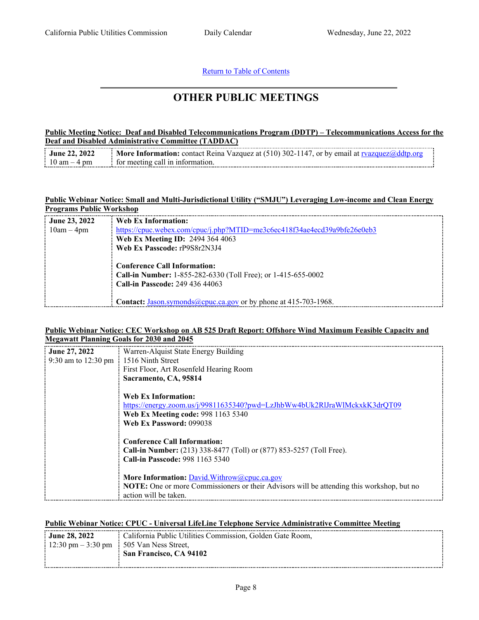#### Return to Table of [Contents](#page-0-1)

## <span id="page-7-0"></span>**OTHER PUBLIC MEETINGS**

#### **Public Meeting Notice: Deaf and Disabled Telecommunications Program (DDTP) – Telecommunications Access for the Deaf and Disabled Administrative Committee (TADDAC)**

| <b>June 22, 2022</b> • More Information: contact Reina Vazquez at (510) 302-1147, or by email at ryazquez@ddtp.org |  |
|--------------------------------------------------------------------------------------------------------------------|--|
| $\frac{1}{2}$ 10 am - 4 pm $\frac{1}{2}$ for meeting call in information.                                          |  |

#### **Public Webinar Notice: Small and Multi-Jurisdictional Utility ("SMJU") Leveraging Low-income and Clean Energy Programs Public Workshop**

| $\frac{1}{2}$ June 23, 2022 | Web Ex Information:                                                                                                                                                                                               |
|-----------------------------|-------------------------------------------------------------------------------------------------------------------------------------------------------------------------------------------------------------------|
| $\frac{1}{2}$ 10am – 4pm    | https://cpuc.webex.com/cpuc/j.php?MTID=me3c6ec418f34ae4ecd39a9bfe26e0eb3                                                                                                                                          |
|                             | Web Ex Meeting ID: 2494 364 4063                                                                                                                                                                                  |
|                             | Web Ex Passcode: rP9S8r2N3J4                                                                                                                                                                                      |
|                             | <b>Conference Call Information:</b><br>Call-in Number: 1-855-282-6330 (Toll Free); or 1-415-655-0002<br>Call-in Passcode: 249 436 44063<br><b>Contact:</b> Jason.symonds@cpuc.ca.gov or by phone at 415-703-1968. |

#### **Public Webinar Notice: CEC Workshop on AB 525 Draft Report: Offshore Wind Maximum Feasible Capacity and Megawatt Planning Goals for 2030 and 2045**

| June 27, 2022                                        | Warren-Alquist State Energy Building                                                      |
|------------------------------------------------------|-------------------------------------------------------------------------------------------|
| 9:30 am to $12:30 \text{ pm} \div 1516$ Ninth Street |                                                                                           |
|                                                      | First Floor, Art Rosenfeld Hearing Room                                                   |
|                                                      | Sacramento, CA, 95814                                                                     |
|                                                      |                                                                                           |
|                                                      | Web Ex Information:                                                                       |
|                                                      | https://energy.zoom.us/j/99811635340?pwd=LzJhbWw4bUk2RlJraWlMckxkK3drQT09                 |
|                                                      | Web Ex Meeting code: 998 1163 5340                                                        |
|                                                      | Web Ex Password: 099038                                                                   |
|                                                      |                                                                                           |
|                                                      | <b>Conference Call Information:</b>                                                       |
|                                                      | Call-in Number: (213) 338-8477 (Toll) or (877) 853-5257 (Toll Free).                      |
|                                                      | Call-in Passcode: 998 1163 5340                                                           |
|                                                      |                                                                                           |
|                                                      | More Information: David.Withrow@cpuc.ca.gov                                               |
|                                                      | NOTE: One or more Commissioners or their Advisors will be attending this workshop, but no |
|                                                      | action will be taken.                                                                     |

#### **Public Webinar Notice: CPUC - Universal LifeLine Telephone Service Administrative Committee Meeting**

| $\frac{1}{2}$ June 28, 2022 | : California Public Utilities Commission, Golden Gate Room, |  |
|-----------------------------|-------------------------------------------------------------|--|
|                             | $\pm 12.30$ pm $-3.30$ pm $\pm 505$ Van Ness Street,        |  |
|                             | $\equiv$ San Francisco, CA 94102                            |  |
|                             |                                                             |  |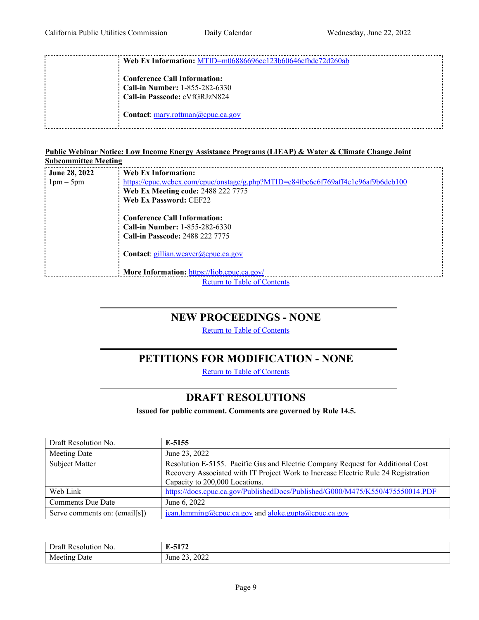**Web Ex Information:** MTID=m06886696cc123b60646efbde72d260ab **Conference Call Information: Call-in Number:** 1-855-282-6330 **Call-in Passcode:** cVfGRJzN824 **Contact**: [mary.rottman@cpuc.ca.gov](mailto:mary.rottman@cpuc.ca.gov) 

#### **Public Webinar Notice: Low Income Energy Assistance Programs (LIEAP) & Water & Climate Change Joint Subcommittee Meeting**

| : June 28, 2022 | Web Ex Information:                                                              |
|-----------------|----------------------------------------------------------------------------------|
| $1pm-5pm$       | https://cpuc.webex.com/cpuc/onstage/g.php?MTID=e84fbc6c6f769aff4e1c96af9b6dcb100 |
|                 | Web Ex Meeting code: 2488 222 7775                                               |
|                 | Web Ex Password: CEF22                                                           |
|                 |                                                                                  |
|                 | <b>Conference Call Information:</b>                                              |
|                 | <b>Call-in Number: 1-855-282-6330</b>                                            |
|                 | <b>Call-in Passcode: 2488 222 7775</b>                                           |
|                 |                                                                                  |
|                 | <b>Contact:</b> gillian.weaver@cpuc.ca.gov                                       |
|                 |                                                                                  |
|                 | More Information: https://liob.cpuc.ca.gov/                                      |
|                 | <b>Return to Table of Contents</b>                                               |

### <span id="page-8-0"></span>**NEW PROCEEDINGS - NONE**

Return to Table of [Contents](#page-0-0)

## **PETITIONS FOR MODIFICATION - NONE**

Return to Table of [Contents](#page-0-0)

### <span id="page-8-2"></span>**DRAFT RESOLUTIONS**

**Issued for public comment. Comments are governed by Rule 14.5.**

<span id="page-8-1"></span>

| Draft Resolution No.          | E-5155                                                                                                                                                                                                  |
|-------------------------------|---------------------------------------------------------------------------------------------------------------------------------------------------------------------------------------------------------|
| Meeting Date                  | June 23, 2022                                                                                                                                                                                           |
| Subject Matter                | Resolution E-5155. Pacific Gas and Electric Company Request for Additional Cost<br>Recovery Associated with IT Project Work to Increase Electric Rule 24 Registration<br>Capacity to 200,000 Locations. |
| Web Link                      | https://docs.cpuc.ca.gov/PublishedDocs/Published/G000/M475/K550/475550014.PDF                                                                                                                           |
| <b>Comments Due Date</b>      | June 6, 2022                                                                                                                                                                                            |
| Serve comments on: (email[s]) | jean.lamming@cpuc.ca.gov and aloke.gupta@cpuc.ca.gov                                                                                                                                                    |

| ı∩r<br>NO. | $\sim$ $\sim$<br><b><i><u>ALCOHOL: 2005</u></i></b> |
|------------|-----------------------------------------------------|
| Jate       | 2022                                                |
| M          | $\sim$                                              |
| ιu         |                                                     |
| 1100       | une                                                 |
|            |                                                     |
|            |                                                     |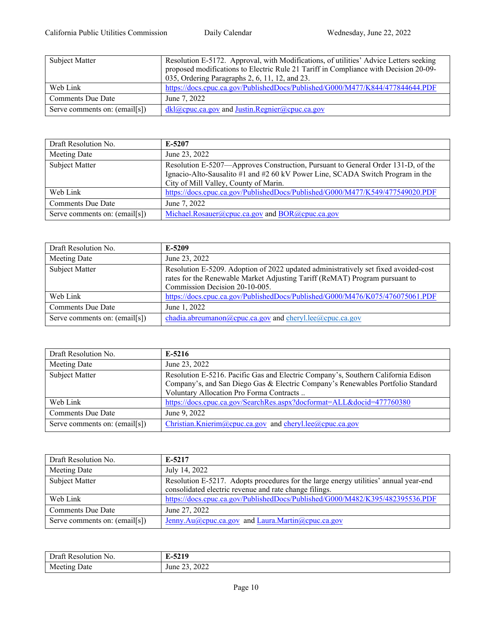| Subject Matter                | Resolution E-5172. Approval, with Modifications, of utilities' Advice Letters seeking<br>proposed modifications to Electric Rule 21 Tariff in Compliance with Decision 20-09-<br>035, Ordering Paragraphs 2, 6, 11, 12, and 23. |
|-------------------------------|---------------------------------------------------------------------------------------------------------------------------------------------------------------------------------------------------------------------------------|
| Web Link                      | https://docs.cpuc.ca.gov/PublishedDocs/Published/G000/M477/K844/477844644.PDF                                                                                                                                                   |
| Comments Due Date             | June 7, 2022                                                                                                                                                                                                                    |
| Serve comments on: (email[s]) | $dkl$ ( $Q$ ) cpuc.ca.gov and Justin.Regnier( $Q$ ) cpuc.ca.gov                                                                                                                                                                 |

| Draft Resolution No.          | E-5207                                                                                                                                                                                                      |
|-------------------------------|-------------------------------------------------------------------------------------------------------------------------------------------------------------------------------------------------------------|
| Meeting Date                  | June 23, 2022                                                                                                                                                                                               |
| Subject Matter                | Resolution E-5207—Approves Construction, Pursuant to General Order 131-D, of the<br>Ignacio-Alto-Sausalito #1 and #2 60 kV Power Line, SCADA Switch Program in the<br>City of Mill Valley, County of Marin. |
| Web Link                      | https://docs.cpuc.ca.gov/PublishedDocs/Published/G000/M477/K549/477549020.PDF                                                                                                                               |
| <b>Comments Due Date</b>      | June 7, 2022                                                                                                                                                                                                |
| Serve comments on: (email[s]) | Michael.Rosauer@cpuc.ca.gov and BOR@cpuc.ca.gov                                                                                                                                                             |

| Draft Resolution No.          | E-5209                                                                                                                                                             |
|-------------------------------|--------------------------------------------------------------------------------------------------------------------------------------------------------------------|
| Meeting Date                  | June 23, 2022                                                                                                                                                      |
| Subject Matter                | Resolution E-5209. Adoption of 2022 updated administratively set fixed avoided-cost<br>rates for the Renewable Market Adjusting Tariff (ReMAT) Program pursuant to |
|                               | Commission Decision 20-10-005.                                                                                                                                     |
| Web Link                      | https://docs.cpuc.ca.gov/PublishedDocs/Published/G000/M476/K075/476075061.PDF                                                                                      |
| <b>Comments Due Date</b>      | June 1, 2022                                                                                                                                                       |
| Serve comments on: (email[s]) | chadia.abreumanon@cpuc.ca.gov and cheryl.lee@cpuc.ca.gov                                                                                                           |

| Draft Resolution No.          | $E-5216$                                                                                                                                                                                                         |
|-------------------------------|------------------------------------------------------------------------------------------------------------------------------------------------------------------------------------------------------------------|
| Meeting Date                  | June 23, 2022                                                                                                                                                                                                    |
| Subject Matter                | Resolution E-5216. Pacific Gas and Electric Company's, Southern California Edison<br>Company's, and San Diego Gas & Electric Company's Renewables Portfolio Standard<br>Voluntary Allocation Pro Forma Contracts |
| Web Link                      | https://docs.cpuc.ca.gov/SearchRes.aspx?docformat=ALL&docid=477760380                                                                                                                                            |
| <b>Comments Due Date</b>      | June 9, 2022                                                                                                                                                                                                     |
| Serve comments on: (email[s]) | Christian.Knierim@cpuc.ca.gov and cheryl.lee@cpuc.ca.gov                                                                                                                                                         |

| Draft Resolution No.          | E-5217                                                                               |
|-------------------------------|--------------------------------------------------------------------------------------|
| Meeting Date                  | July 14, 2022                                                                        |
| Subject Matter                | Resolution E-5217. Adopts procedures for the large energy utilities' annual year-end |
|                               | consolidated electric revenue and rate change filings.                               |
| Web Link                      | https://docs.cpuc.ca.gov/PublishedDocs/Published/G000/M482/K395/482395536.PDF        |
| <b>Comments Due Date</b>      | June 27, 2022                                                                        |
| Serve comments on: (email[s]) | Jenny.Au@cpuc.ca.gov and Laura.Martin@cpuc.ca.gov                                    |

| Draf<br>Reco<br>utior<br>N <sub>O</sub> | AA<br><br>. .<br>−ง⊿<br>. .<br>__   |
|-----------------------------------------|-------------------------------------|
| Meeting<br>Jate                         | 2022<br>$\sim$ $\sim$<br>June<br>-- |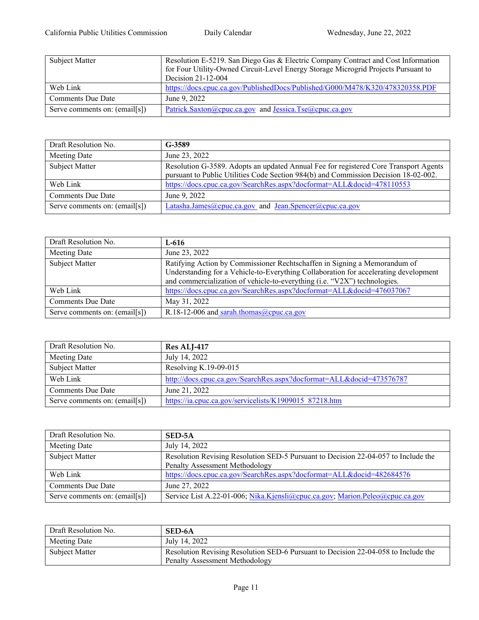| Subject Matter                | Resolution E-5219. San Diego Gas & Electric Company Contract and Cost Information<br>for Four Utility-Owned Circuit-Level Energy Storage Microgrid Projects Pursuant to<br>Decision 21-12-004 |
|-------------------------------|-----------------------------------------------------------------------------------------------------------------------------------------------------------------------------------------------|
| Web Link                      | https://docs.cpuc.ca.gov/PublishedDocs/Published/G000/M478/K320/478320358.PDF                                                                                                                 |
| Comments Due Date             | June 9, 2022                                                                                                                                                                                  |
| Serve comments on: (email[s]) | Patrick.Saxton@cpuc.ca.gov and Jessica.Tse@cpuc.ca.gov                                                                                                                                        |

| Draft Resolution No.          | G-3589                                                                                                                                                                      |
|-------------------------------|-----------------------------------------------------------------------------------------------------------------------------------------------------------------------------|
| Meeting Date                  | June 23, 2022                                                                                                                                                               |
| Subject Matter                | Resolution G-3589. Adopts an updated Annual Fee for registered Core Transport Agents<br>pursuant to Public Utilities Code Section 984(b) and Commission Decision 18-02-002. |
| Web Link                      | https://docs.cpuc.ca.gov/SearchRes.aspx?docformat=ALL&docid=478110553                                                                                                       |
| <b>Comments Due Date</b>      | June 9, 2022                                                                                                                                                                |
| Serve comments on: (email[s]) | Latasha.James@cpuc.ca.gov_and_Jean.Spencer@cpuc.ca.gov                                                                                                                      |

| Draft Resolution No.          | L-616                                                                                                                                                                                                                                          |
|-------------------------------|------------------------------------------------------------------------------------------------------------------------------------------------------------------------------------------------------------------------------------------------|
| Meeting Date                  | June 23, 2022                                                                                                                                                                                                                                  |
| Subject Matter                | Ratifying Action by Commissioner Rechtschaffen in Signing a Memorandum of<br>Understanding for a Vehicle-to-Everything Collaboration for accelerating development<br>and commercialization of vehicle-to-everything (i.e. "V2X") technologies. |
| Web Link                      | https://docs.cpuc.ca.gov/SearchRes.aspx?docformat=ALL&docid=476037067                                                                                                                                                                          |
| <b>Comments Due Date</b>      | May 31, 2022                                                                                                                                                                                                                                   |
| Serve comments on: (email[s]) | R.18-12-006 and sarah.thomas@cpuc.ca.gov                                                                                                                                                                                                       |

| Draft Resolution No.          | Res ALJ-417                                                          |
|-------------------------------|----------------------------------------------------------------------|
| Meeting Date                  | July 14, 2022                                                        |
| Subject Matter                | Resolving K.19-09-015                                                |
| Web Link                      | http://docs.cpuc.ca.gov/SearchRes.aspx?docformat=ALL&docid=473576787 |
| Comments Due Date             | June 21, 2022                                                        |
| Serve comments on: (email[s]) | https://ia.cpuc.ca.gov/servicelists/K1909015 87218.htm               |

| Draft Resolution No.          | SED-5A                                                                             |
|-------------------------------|------------------------------------------------------------------------------------|
| Meeting Date                  | July 14, 2022                                                                      |
| Subject Matter                | Resolution Revising Resolution SED-5 Pursuant to Decision 22-04-057 to Include the |
|                               | Penalty Assessment Methodology                                                     |
| Web Link                      | https://docs.cpuc.ca.gov/SearchRes.aspx?docformat=ALL&docid=482684576              |
| <b>Comments Due Date</b>      | June 27, 2022                                                                      |
| Serve comments on: (email[s]) | Service List A.22-01-006; Nika.Kjensli@cpuc.ca.gov; Marion.Peleo@cpuc.ca.gov       |

| Draft Resolution No. | SED-6A                                                                             |
|----------------------|------------------------------------------------------------------------------------|
| Meeting Date         | July 14, 2022                                                                      |
| Subject Matter       | Resolution Revising Resolution SED-6 Pursuant to Decision 22-04-058 to Include the |
|                      | <b>Penalty Assessment Methodology</b>                                              |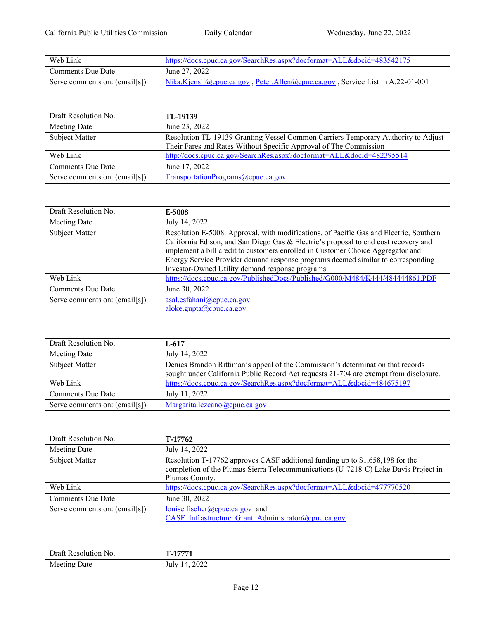| Web Link                      | https://docs.cpuc.ca.gov/SearchRes.aspx?docformat=ALL&docid=483542175          |
|-------------------------------|--------------------------------------------------------------------------------|
| Comments Due Date             | June 27, 2022                                                                  |
| Serve comments on: (email[s]) | Nika.Kjensli@cpuc.ca.gov, Peter.Allen@cpuc.ca.gov, Service List in A.22-01-001 |

| Draft Resolution No.          | TL-19139                                                                          |
|-------------------------------|-----------------------------------------------------------------------------------|
| Meeting Date                  | June 23, 2022                                                                     |
| Subject Matter                | Resolution TL-19139 Granting Vessel Common Carriers Temporary Authority to Adjust |
|                               | Their Fares and Rates Without Specific Approval of The Commission                 |
| Web Link                      | http://docs.cpuc.ca.gov/SearchRes.aspx?docformat=ALL&docid=482395514              |
| <b>Comments Due Date</b>      | June 17, 2022                                                                     |
| Serve comments on: (email[s]) | TransportationPrograms@cpuc.ca.gov                                                |

| Draft Resolution No.          | E-5008                                                                                                                                                                                                                                                                                                                                                                                                   |
|-------------------------------|----------------------------------------------------------------------------------------------------------------------------------------------------------------------------------------------------------------------------------------------------------------------------------------------------------------------------------------------------------------------------------------------------------|
| Meeting Date                  | July 14, 2022                                                                                                                                                                                                                                                                                                                                                                                            |
| Subject Matter                | Resolution E-5008. Approval, with modifications, of Pacific Gas and Electric, Southern<br>California Edison, and San Diego Gas & Electric's proposal to end cost recovery and<br>implement a bill credit to customers enrolled in Customer Choice Aggregator and<br>Energy Service Provider demand response programs deemed similar to corresponding<br>Investor-Owned Utility demand response programs. |
| Web Link                      | https://docs.cpuc.ca.gov/PublishedDocs/Published/G000/M484/K444/484444861.PDF                                                                                                                                                                                                                                                                                                                            |
| <b>Comments Due Date</b>      | June 30, 2022                                                                                                                                                                                                                                                                                                                                                                                            |
| Serve comments on: (email[s]) | asal.esfahani@cpuc.ca.gov<br>aloke.gupta@cpuc.ca.gov                                                                                                                                                                                                                                                                                                                                                     |

| Draft Resolution No.          | $L-617$                                                                               |
|-------------------------------|---------------------------------------------------------------------------------------|
| Meeting Date                  | July 14, 2022                                                                         |
| Subject Matter                | Denies Brandon Rittiman's appeal of the Commission's determination that records       |
|                               | sought under California Public Record Act requests 21-704 are exempt from disclosure. |
| Web Link                      | https://docs.cpuc.ca.gov/SearchRes.aspx?docformat=ALL&docid=484675197                 |
| Comments Due Date             | July 11, 2022                                                                         |
| Serve comments on: (email[s]) | Margarita.lezcano@cpuc.ca.gov                                                         |

| Draft Resolution No.          | T-17762                                                                             |
|-------------------------------|-------------------------------------------------------------------------------------|
| Meeting Date                  | July 14, 2022                                                                       |
| Subject Matter                | Resolution T-17762 approves CASF additional funding up to \$1,658,198 for the       |
|                               | completion of the Plumas Sierra Telecommunications (U-7218-C) Lake Davis Project in |
|                               | Plumas County.                                                                      |
| Web Link                      | https://docs.cpuc.ca.gov/SearchRes.aspx?docformat=ALL&docid=477770520               |
| <b>Comments Due Date</b>      | June 30, 2022                                                                       |
| Serve comments on: (email[s]) | $louise.fischer@cpuc.ca.gov$ and                                                    |
|                               | CASF Infrastructure Grant Administrator@cpuc.ca.gov                                 |

| Ira<br>.cior<br>.2801117<br>NO. | $\overline{a}$ means $\overline{a}$                 |
|---------------------------------|-----------------------------------------------------|
| Jate<br>Meeting                 | $\sim$ $\sim$ $\sim$<br>TE.<br>lulx<br>ินเ<br>ىستەن |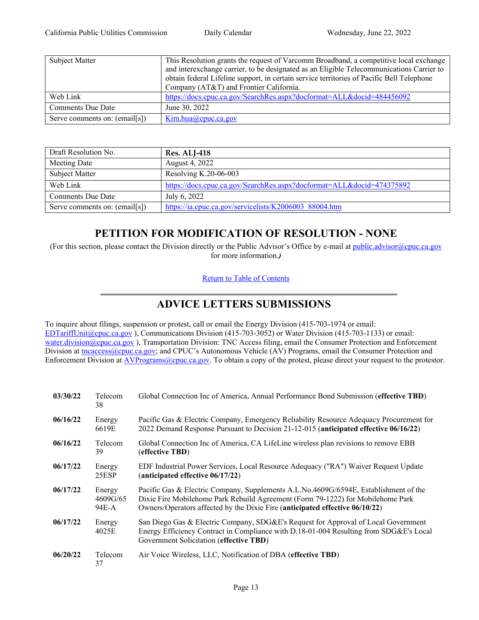| Subject Matter                | This Resolution grants the request of Varcomm Broadband, a competitive local exchange     |
|-------------------------------|-------------------------------------------------------------------------------------------|
|                               | and interexchange carrier, to be designated as an Eligible Telecommunications Carrier to  |
|                               | obtain federal Lifeline support, in certain service territories of Pacific Bell Telephone |
|                               | Company (AT&T) and Frontier California.                                                   |
| Web Link                      | https://docs.cpuc.ca.gov/SearchRes.aspx?docformat=ALL&docid=484456092                     |
| Comments Due Date             | June 30, 2022                                                                             |
| Serve comments on: (email[s]) | Kim.hua@cpuc.ca.gov                                                                       |

| Draft Resolution No.          | <b>Res. ALJ-418</b>                                                   |
|-------------------------------|-----------------------------------------------------------------------|
| Meeting Date                  | August 4, 2022                                                        |
| Subject Matter                | Resolving $K.20-06-003$                                               |
| Web Link                      | https://docs.cpuc.ca.gov/SearchRes.aspx?docformat=ALL&docid=474375892 |
| <b>Comments Due Date</b>      | July 6, 2022                                                          |
| Serve comments on: (email[s]) | https://ia.cpuc.ca.gov/servicelists/K2006003 88004.htm                |

# **PETITION FOR MODIFICATION OF RESOLUTION - NONE**

(For this section, please contact the Division directly or the Public Advisor's Office by e-mail at [public.advisor@cpuc.ca.gov](mailto:public.advisor@cpuc.ca.gov?subject=Re:) for more information.*)*

Return to Table of [Contents](#page-0-0)

## <span id="page-12-0"></span>**ADVICE LETTERS SUBMISSIONS**

To inquire about filings, suspension or protest, call or email the Energy Division (415-703-1974 or email: [EDTariffUnit@cpuc.ca.gov](file://gc5filesrv231/VDI-AppData/CW4/AppData/Roaming/OpenText/OTEdit/cs_cpuc_ca_gov-otcs/c323758965/EDTariffUnit@cpuc.ca.gov) ), Communications Division (415-703-3052) or Water Division (415-703-1133) or email: water.division@cpuc.ca.gov), Transportation Division: TNC Access filing, email the Consumer Protection and Enforcement Division at [tncaccess@cpuc.ca.gov;](mailto:tncaccess@cpuc.ca.gov) and CPUC's Autonomous Vehicle (AV) Programs, email the Consumer Protection and Enforcement Division at [AVPrograms@cpuc.ca.gov](mailto:AVPrograms@cpuc.ca.gov). To obtain a copy of the protest, please direct your request to the protestor.

| 03/30/22 | Telecom<br>38               | Global Connection Inc of America, Annual Performance Bond Submission (effective TBD)                                                                                                                                                                    |
|----------|-----------------------------|---------------------------------------------------------------------------------------------------------------------------------------------------------------------------------------------------------------------------------------------------------|
| 06/16/22 | Energy<br>6619E             | Pacific Gas & Electric Company, Emergency Reliability Resource Adequacy Procurement for<br>2022 Demand Response Pursuant to Decision 21-12-015 (anticipated effective 06/16/22)                                                                         |
| 06/16/22 | Telecom<br>39               | Global Connection Inc of America, CA LifeLine wireless plan revisions to remove EBB<br>(effective TBD)                                                                                                                                                  |
| 06/17/22 | Energy<br>25ESP             | EDF Industrial Power Services, Local Resource Adequacy ("RA") Waiver Request Update<br>(anticipated effective 06/17/22)                                                                                                                                 |
| 06/17/22 | Energy<br>4609G/65<br>94E-A | Pacific Gas & Electric Company, Supplements A.L.No.4609G/6594E, Establishment of the<br>Dixie Fire Mobilehome Park Rebuild Agreement (Form 79-1222) for Mobilehome Park<br>Owners/Operators affected by the Dixie Fire (anticipated effective 06/10/22) |
| 06/17/22 | Energy<br>4025E             | San Diego Gas & Electric Company, SDG&E's Request for Approval of Local Government<br>Energy Efficiency Contract in Compliance with D.18-01-004 Resulting from SDG&E's Local<br>Government Solicitation (effective TBD)                                 |
| 06/20/22 | <b>Telecom</b><br>37        | Air Voice Wireless, LLC, Notification of DBA (effective TBD)                                                                                                                                                                                            |